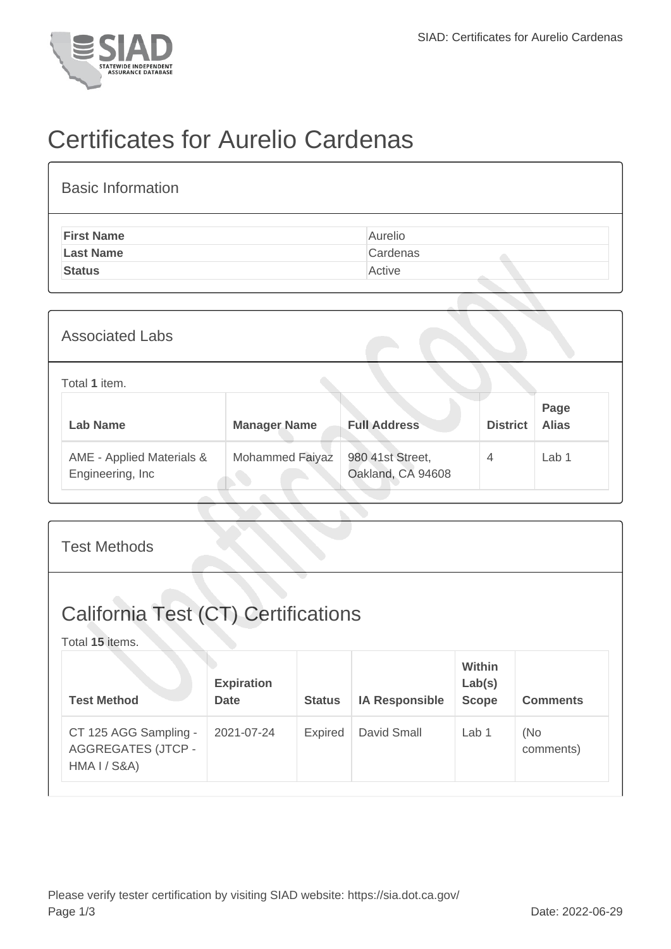

## Certificates for Aurelio Cardenas

| <b>Basic Information</b> |          |
|--------------------------|----------|
| <b>First Name</b>        | Aurelio  |
| <b>Last Name</b>         | Cardenas |
| <b>Status</b>            | Active   |
|                          |          |

| <b>Associated Labs</b>                         |                     |                                       |                 |                      |
|------------------------------------------------|---------------------|---------------------------------------|-----------------|----------------------|
| Total 1 item.                                  |                     |                                       |                 |                      |
| <b>Lab Name</b>                                | <b>Manager Name</b> | <b>Full Address</b>                   | <b>District</b> | Page<br><b>Alias</b> |
| AME - Applied Materials &<br>Engineering, Inc. | Mohammed Faiyaz     | 980 41st Street,<br>Oakland, CA 94608 | $\overline{4}$  | Lab 1                |

| <b>Test Methods</b>                                                           |                                  |               |                       |                                  |                  |  |  |
|-------------------------------------------------------------------------------|----------------------------------|---------------|-----------------------|----------------------------------|------------------|--|--|
| <b>California Test (CT) Certifications</b><br>Total 15 items.                 |                                  |               |                       |                                  |                  |  |  |
| <b>Test Method</b>                                                            | <b>Expiration</b><br><b>Date</b> | <b>Status</b> | <b>IA Responsible</b> | Within<br>Lab(s)<br><b>Scope</b> | <b>Comments</b>  |  |  |
| CT 125 AGG Sampling -<br><b>AGGREGATES (JTCP -</b><br><b>HMA I / S&amp;A)</b> | 2021-07-24                       | Expired       | David Small           | Lab <sub>1</sub>                 | (No<br>comments) |  |  |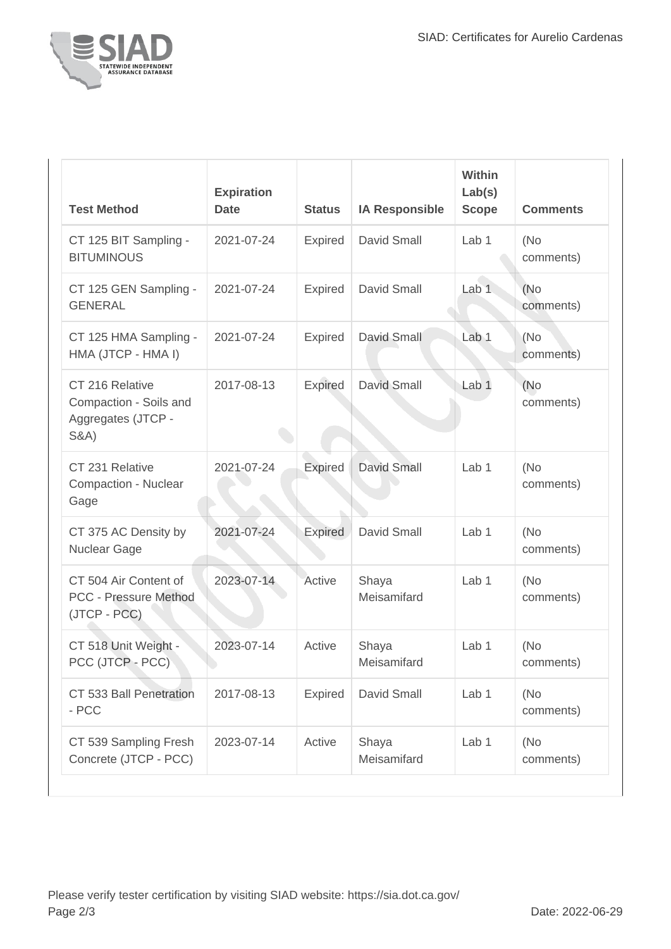

| <b>Test Method</b>                                                                 | <b>Expiration</b><br><b>Date</b> | <b>Status</b>  | <b>IA Responsible</b> | Within<br>Lab(s)<br><b>Scope</b> | <b>Comments</b>   |
|------------------------------------------------------------------------------------|----------------------------------|----------------|-----------------------|----------------------------------|-------------------|
| CT 125 BIT Sampling -<br><b>BITUMINOUS</b>                                         | 2021-07-24                       | Expired        | David Small           | Lab <sub>1</sub>                 | (No)<br>comments) |
| CT 125 GEN Sampling -<br><b>GENERAL</b>                                            | 2021-07-24                       | <b>Expired</b> | David Small           | Lab 1                            | (No)<br>comments) |
| CT 125 HMA Sampling -<br>HMA (JTCP - HMA I)                                        | 2021-07-24                       | <b>Expired</b> | <b>David Small</b>    | Lab <sub>1</sub>                 | (No<br>comments)  |
| CT 216 Relative<br>Compaction - Soils and<br>Aggregates (JTCP -<br><b>S&amp;A)</b> | 2017-08-13                       | <b>Expired</b> | David Small           | Lab <sub>1</sub>                 | (No)<br>comments) |
| CT 231 Relative<br>Compaction - Nuclear<br>Gage                                    | 2021-07-24                       | <b>Expired</b> | <b>David Small</b>    | Lab <sub>1</sub>                 | (No<br>comments)  |
| CT 375 AC Density by<br>Nuclear Gage                                               | 2021-07-24                       | Expired        | David Small           | Lab <sub>1</sub>                 | (No<br>comments)  |
| CT 504 Air Content of<br><b>PCC - Pressure Method</b><br>(JTCP - PCC)              | 2023-07-14                       | Active         | Shaya<br>Meisamifard  | Lab <sub>1</sub>                 | (No<br>comments)  |
| CT 518 Unit Weight -<br>PCC (JTCP - PCC)                                           | 2023-07-14                       | Active         | Shaya<br>Meisamifard  | Lab <sub>1</sub>                 | (No<br>comments)  |
| CT 533 Ball Penetration<br>- PCC                                                   | 2017-08-13                       | Expired        | David Small           | Lab <sub>1</sub>                 | (No<br>comments)  |
| CT 539 Sampling Fresh<br>Concrete (JTCP - PCC)                                     | 2023-07-14                       | Active         | Shaya<br>Meisamifard  | Lab 1                            | (No)<br>comments) |